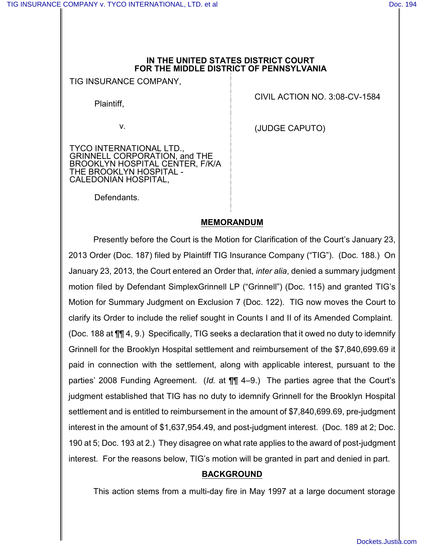#### **IN THE UNITED STATES DISTRICT COURT FOR THE MIDDLE DISTRICT OF PENNSYLVANIA**

TIG INSURANCE COMPANY,

Plaintiff,

v.

TYCO INTERNATIONAL LTD., GRINNELL CORPORATION, and THE BROOKLYN HOSPITAL CENTER, F/K/A THE BROOKLYN HOSPITAL - CALEDONIAN HOSPITAL,

CIVIL ACTION NO. 3:08-CV-1584

(JUDGE CAPUTO)

Defendants.

## **MEMORANDUM**

Presently before the Court is the Motion for Clarification of the Court's January 23, 2013 Order (Doc. 187) filed by Plaintiff TIG Insurance Company ("TIG"). (Doc. 188.) On January 23, 2013, the Court entered an Order that, *inter alia*, denied a summary judgment motion filed by Defendant SimplexGrinnell LP ("Grinnell") (Doc. 115) and granted TIG's Motion for Summary Judgment on Exclusion 7 (Doc. 122). TIG now moves the Court to clarify its Order to include the relief sought in Counts I and II of its Amended Complaint. (Doc. 188 at ¶¶ 4, 9.) Specifically, TIG seeks a declaration that it owed no duty to idemnify Grinnell for the Brooklyn Hospital settlement and reimbursement of the \$7,840,699.69 it paid in connection with the settlement, along with applicable interest, pursuant to the parties' 2008 Funding Agreement. (*Id.* at ¶¶ 4–9.) The parties agree that the Court's judgment established that TIG has no duty to idemnify Grinnell for the Brooklyn Hospital settlement and is entitled to reimbursement in the amount of \$7,840,699.69, pre-judgment interest in the amount of \$1,637,954.49, and post-judgment interest. (Doc. 189 at 2; Doc. 190 at 5; Doc. 193 at 2.) They disagree on what rate applies to the award of post-judgment interest. For the reasons below, TIG's motion will be granted in part and denied in part.

## **BACKGROUND**

This action stems from a multi-day fire in May 1997 at a large document storage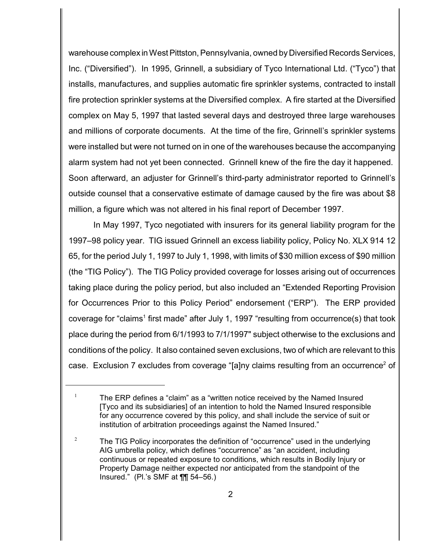warehouse complex in West Pittston, Pennsylvania, owned by Diversified Records Services, Inc. ("Diversified"). In 1995, Grinnell, a subsidiary of Tyco International Ltd. ("Tyco") that installs, manufactures, and supplies automatic fire sprinkler systems, contracted to install fire protection sprinkler systems at the Diversified complex. A fire started at the Diversified complex on May 5, 1997 that lasted several days and destroyed three large warehouses and millions of corporate documents. At the time of the fire, Grinnell's sprinkler systems were installed but were not turned on in one of the warehouses because the accompanying alarm system had not yet been connected. Grinnell knew of the fire the day it happened. Soon afterward, an adjuster for Grinnell's third-party administrator reported to Grinnell's outside counsel that a conservative estimate of damage caused by the fire was about \$8 million, a figure which was not altered in his final report of December 1997.

In May 1997, Tyco negotiated with insurers for its general liability program for the 1997–98 policy year. TIG issued Grinnell an excess liability policy, Policy No. XLX 914 12 65, for the period July 1, 1997 to July 1, 1998, with limits of \$30 million excess of \$90 million (the "TIG Policy"). The TIG Policy provided coverage for losses arising out of occurrences taking place during the policy period, but also included an "Extended Reporting Provision for Occurrences Prior to this Policy Period" endorsement ("ERP"). The ERP provided coverage for "claims<sup>1</sup> first made" after July 1, 1997 "resulting from occurrence(s) that took place during the period from 6/1/1993 to 7/1/1997" subject otherwise to the exclusions and conditions of the policy. It also contained seven exclusions, two of which are relevant to this case. Exclusion 7 excludes from coverage "[a]ny claims resulting from an occurrence<sup>2</sup> of

<sup>&</sup>lt;sup>1</sup> The ERP defines a "claim" as a "written notice received by the Named Insured [Tyco and its subsidiaries] of an intention to hold the Named Insured responsible for any occurrence covered by this policy, and shall include the service of suit or institution of arbitration proceedings against the Named Insured."

<sup>&</sup>lt;sup>2</sup> The TIG Policy incorporates the definition of "occurrence" used in the underlying AIG umbrella policy, which defines "occurrence" as "an accident, including continuous or repeated exposure to conditions, which results in Bodily Injury or Property Damage neither expected nor anticipated from the standpoint of the Insured." (Pl.'s SMF at ¶¶ 54–56.)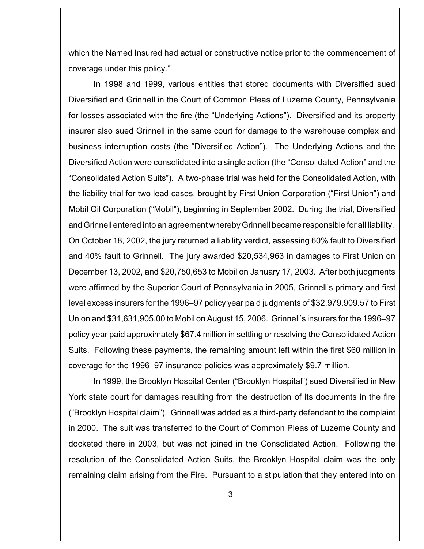which the Named Insured had actual or constructive notice prior to the commencement of coverage under this policy."

In 1998 and 1999, various entities that stored documents with Diversified sued Diversified and Grinnell in the Court of Common Pleas of Luzerne County, Pennsylvania for losses associated with the fire (the "Underlying Actions"). Diversified and its property insurer also sued Grinnell in the same court for damage to the warehouse complex and business interruption costs (the "Diversified Action"). The Underlying Actions and the Diversified Action were consolidated into a single action (the "Consolidated Action" and the "Consolidated Action Suits"). A two-phase trial was held for the Consolidated Action, with the liability trial for two lead cases, brought by First Union Corporation ("First Union") and Mobil Oil Corporation ("Mobil"), beginning in September 2002. During the trial, Diversified and Grinnell entered into an agreement whereby Grinnell became responsible for all liability. On October 18, 2002, the jury returned a liability verdict, assessing 60% fault to Diversified and 40% fault to Grinnell. The jury awarded \$20,534,963 in damages to First Union on December 13, 2002, and \$20,750,653 to Mobil on January 17, 2003. After both judgments were affirmed by the Superior Court of Pennsylvania in 2005, Grinnell's primary and first level excess insurers for the 1996–97 policy year paid judgments of \$32,979,909.57 to First Union and \$31,631,905.00 to Mobil on August 15, 2006. Grinnell's insurers for the 1996–97 policy year paid approximately \$67.4 million in settling or resolving the Consolidated Action Suits. Following these payments, the remaining amount left within the first \$60 million in coverage for the 1996–97 insurance policies was approximately \$9.7 million.

In 1999, the Brooklyn Hospital Center ("Brooklyn Hospital") sued Diversified in New York state court for damages resulting from the destruction of its documents in the fire ("Brooklyn Hospital claim"). Grinnell was added as a third-party defendant to the complaint in 2000. The suit was transferred to the Court of Common Pleas of Luzerne County and docketed there in 2003, but was not joined in the Consolidated Action. Following the resolution of the Consolidated Action Suits, the Brooklyn Hospital claim was the only remaining claim arising from the Fire. Pursuant to a stipulation that they entered into on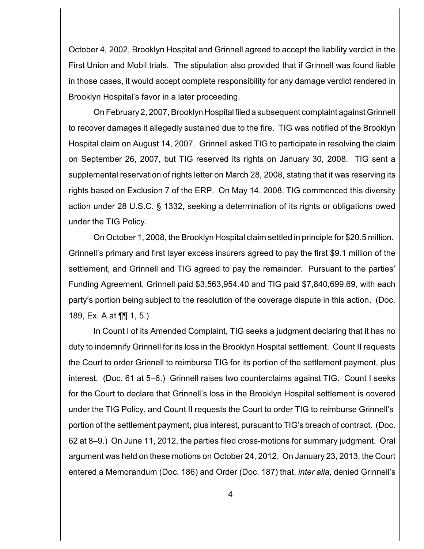October 4, 2002, Brooklyn Hospital and Grinnell agreed to accept the liability verdict in the First Union and Mobil trials. The stipulation also provided that if Grinnell was found liable in those cases, it would accept complete responsibility for any damage verdict rendered in Brooklyn Hospital's favor in a later proceeding.

On February 2, 2007, Brooklyn Hospital filed a subsequent complaint against Grinnell to recover damages it allegedly sustained due to the fire. TIG was notified of the Brooklyn Hospital claim on August 14, 2007. Grinnell asked TIG to participate in resolving the claim on September 26, 2007, but TIG reserved its rights on January 30, 2008. TIG sent a supplemental reservation of rights letter on March 28, 2008, stating that it was reserving its rights based on Exclusion 7 of the ERP. On May 14, 2008, TIG commenced this diversity action under 28 U.S.C. § 1332, seeking a determination of its rights or obligations owed under the TIG Policy.

On October 1, 2008, the Brooklyn Hospital claim settled in principle for \$20.5 million. Grinnell's primary and first layer excess insurers agreed to pay the first \$9.1 million of the settlement, and Grinnell and TIG agreed to pay the remainder. Pursuant to the parties' Funding Agreement, Grinnell paid \$3,563,954.40 and TIG paid \$7,840,699.69, with each party's portion being subject to the resolution of the coverage dispute in this action. (Doc. 189, Ex. A at ¶¶ 1, 5.)

In Count I of its Amended Complaint, TIG seeks a judgment declaring that it has no duty to indemnify Grinnell for its loss in the Brooklyn Hospital settlement. Count II requests the Court to order Grinnell to reimburse TIG for its portion of the settlement payment, plus interest. (Doc. 61 at 5–6.) Grinnell raises two counterclaims against TIG. Count I seeks for the Court to declare that Grinnell's loss in the Brooklyn Hospital settlement is covered under the TIG Policy, and Count II requests the Court to order TIG to reimburse Grinnell's portion of the settlement payment, plus interest, pursuant to TIG's breach of contract. (Doc. 62 at 8–9.) On June 11, 2012, the parties filed cross-motions for summary judgment. Oral argument was held on these motions on October 24, 2012. On January 23, 2013, the Court entered a Memorandum (Doc. 186) and Order (Doc. 187) that, *inter alia*, denied Grinnell's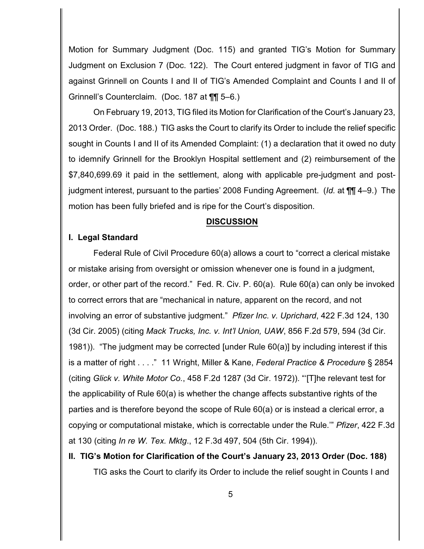Motion for Summary Judgment (Doc. 115) and granted TIG's Motion for Summary Judgment on Exclusion 7 (Doc. 122). The Court entered judgment in favor of TIG and against Grinnell on Counts I and II of TIG's Amended Complaint and Counts I and II of Grinnell's Counterclaim. (Doc. 187 at ¶¶ 5–6.)

On February 19, 2013, TIG filed its Motion for Clarification of the Court's January 23, 2013 Order. (Doc. 188.) TIG asks the Court to clarify its Order to include the relief specific sought in Counts I and II of its Amended Complaint: (1) a declaration that it owed no duty to idemnify Grinnell for the Brooklyn Hospital settlement and (2) reimbursement of the \$7,840,699.69 it paid in the settlement, along with applicable pre-judgment and postjudgment interest, pursuant to the parties' 2008 Funding Agreement. (*Id.* at ¶¶ 4–9.) The motion has been fully briefed and is ripe for the Court's disposition.

#### **DISCUSSION**

#### **I. Legal Standard**

Federal Rule of Civil Procedure 60(a) allows a court to "correct a clerical mistake or mistake arising from oversight or omission whenever one is found in a judgment, order, or other part of the record." Fed. R. Civ. P. 60(a). Rule 60(a) can only be invoked to correct errors that are "mechanical in nature, apparent on the record, and not involving an error of substantive judgment." *Pfizer Inc. v. Uprichard*, 422 F.3d 124, 130 (3d Cir. 2005) (citing *Mack Trucks, Inc. v. Int'l Union, UAW*, 856 F.2d 579, 594 (3d Cir. 1981)). "The judgment may be corrected [under Rule 60(a)] by including interest if this is a matter of right . . . ." 11 Wright, Miller & Kane, *Federal Practice & Procedure* § 2854 (citing *Glick v. White Motor Co.*, 458 F.2d 1287 (3d Cir. 1972)). "'[T]he relevant test for the applicability of Rule 60(a) is whether the change affects substantive rights of the parties and is therefore beyond the scope of Rule 60(a) or is instead a clerical error, a copying or computational mistake, which is correctable under the Rule.'" *Pfizer*, 422 F.3d at 130 (citing *In re W. Tex. Mktg*., 12 F.3d 497, 504 (5th Cir. 1994)).

# **II. TIG's Motion for Clarification of the Court's January 23, 2013 Order (Doc. 188)** TIG asks the Court to clarify its Order to include the relief sought in Counts I and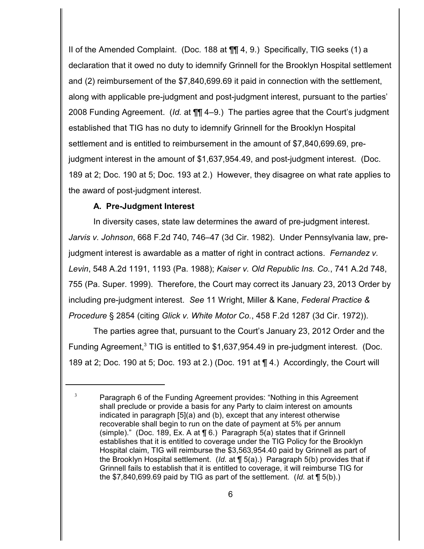II of the Amended Complaint. (Doc. 188 at ¶¶ 4, 9.) Specifically, TIG seeks (1) a declaration that it owed no duty to idemnify Grinnell for the Brooklyn Hospital settlement and (2) reimbursement of the \$7,840,699.69 it paid in connection with the settlement, along with applicable pre-judgment and post-judgment interest, pursuant to the parties' 2008 Funding Agreement. (*Id.* at ¶¶ 4–9.) The parties agree that the Court's judgment established that TIG has no duty to idemnify Grinnell for the Brooklyn Hospital settlement and is entitled to reimbursement in the amount of \$7,840,699.69, prejudgment interest in the amount of \$1,637,954.49, and post-judgment interest. (Doc. 189 at 2; Doc. 190 at 5; Doc. 193 at 2.) However, they disagree on what rate applies to the award of post-judgment interest.

## **A. Pre-Judgment Interest**

In diversity cases, state law determines the award of pre-judgment interest. *Jarvis v. Johnson*, 668 F.2d 740, 746–47 (3d Cir. 1982). Under Pennsylvania law, prejudgment interest is awardable as a matter of right in contract actions. *Fernandez v. Levin*, 548 A.2d 1191, 1193 (Pa. 1988); *Kaiser v. Old Republic Ins. Co.*, 741 A.2d 748, 755 (Pa. Super. 1999). Therefore, the Court may correct its January 23, 2013 Order by including pre-judgment interest. *See* 11 Wright, Miller & Kane, *Federal Practice & Procedure* § 2854 (citing *Glick v. White Motor Co.*, 458 F.2d 1287 (3d Cir. 1972)).

The parties agree that, pursuant to the Court's January 23, 2012 Order and the Funding Agreement,<sup>3</sup> TIG is entitled to \$1,637,954.49 in pre-judgment interest. (Doc. 189 at 2; Doc. 190 at 5; Doc. 193 at 2.) (Doc. 191 at ¶ 4.) Accordingly, the Court will

 $3$  Paragraph 6 of the Funding Agreement provides: "Nothing in this Agreement shall preclude or provide a basis for any Party to claim interest on amounts indicated in paragraph [5](a) and (b), except that any interest otherwise recoverable shall begin to run on the date of payment at 5% per annum (simple)." (Doc. 189, Ex. A at ¶ 6.) Paragraph 5(a) states that if Grinnell establishes that it is entitled to coverage under the TIG Policy for the Brooklyn Hospital claim, TIG will reimburse the \$3,563,954.40 paid by Grinnell as part of the Brooklyn Hospital settlement. (*Id.* at ¶ 5(a).) Paragraph 5(b) provides that if Grinnell fails to establish that it is entitled to coverage, it will reimburse TIG for the \$7,840,699.69 paid by TIG as part of the settlement. (*Id.* at ¶ 5(b).)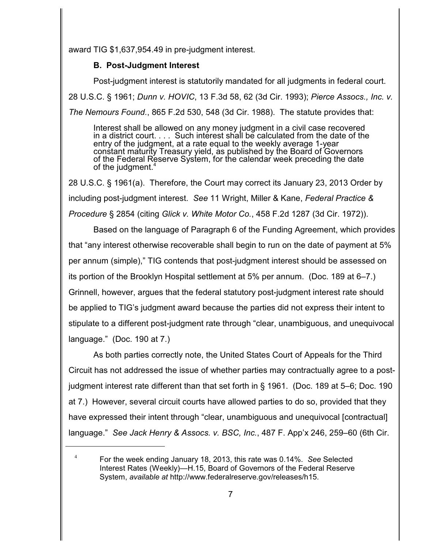award TIG \$1,637,954.49 in pre-judgment interest.

## **B. Post-Judgment Interest**

Post-judgment interest is statutorily mandated for all judgments in federal court.

28 U.S.C. § 1961; *Dunn v. HOVIC*, 13 F.3d 58, 62 (3d Cir. 1993); *Pierce Assocs., Inc. v.*

*The Nemours Found.*, 865 F.2d 530, 548 (3d Cir. 1988). The statute provides that:

Interest shall be allowed on any money judgment in a civil case recovered in a district court. . . . Such interest shall be calculated from the date of the entry of the judgment, at a rate equal to the weekly average 1-year constant maturity Treasury yield, as published by the Board of Governors of the Federal Reserve System, for the calendar week preceding the date of the judgment. 4

28 U.S.C. § 1961(a). Therefore, the Court may correct its January 23, 2013 Order by including post-judgment interest. *See* 11 Wright, Miller & Kane, *Federal Practice & Procedure* § 2854 (citing *Glick v. White Motor Co.*, 458 F.2d 1287 (3d Cir. 1972)).

Based on the language of Paragraph 6 of the Funding Agreement, which provides that "any interest otherwise recoverable shall begin to run on the date of payment at 5% per annum (simple)," TIG contends that post-judgment interest should be assessed on its portion of the Brooklyn Hospital settlement at 5% per annum. (Doc. 189 at 6–7.) Grinnell, however, argues that the federal statutory post-judgment interest rate should be applied to TIG's judgment award because the parties did not express their intent to stipulate to a different post-judgment rate through "clear, unambiguous, and unequivocal language." (Doc. 190 at 7.)

As both parties correctly note, the United States Court of Appeals for the Third Circuit has not addressed the issue of whether parties may contractually agree to a postjudgment interest rate different than that set forth in § 1961. (Doc. 189 at 5–6; Doc. 190 at 7.) However, several circuit courts have allowed parties to do so, provided that they have expressed their intent through "clear, unambiguous and unequivocal [contractual] language." *See Jack Henry & Assocs. v. BSC, Inc.*, 487 F. App'x 246, 259–60 (6th Cir.

For the week ending January 18, 2013, this rate was 0.14%. *See* Selected <sup>4</sup> Interest Rates (Weekly)—H.15, Board of Governors of the Federal Reserve System, *available at* http://www.federalreserve.gov/releases/h15.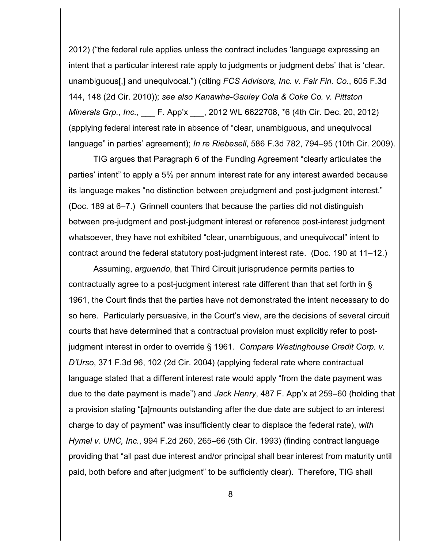2012) ("the federal rule applies unless the contract includes 'language expressing an intent that a particular interest rate apply to judgments or judgment debs' that is 'clear, unambiguous[,] and unequivocal.") (citing *FCS Advisors, Inc. v. Fair Fin. Co.*, 605 F.3d 144, 148 (2d Cir. 2010)); *see also Kanawha-Gauley Cola & Coke Co. v. Pittston Minerals Grp., Inc.*, \_\_\_ F. App'x \_\_\_, 2012 WL 6622708, \*6 (4th Cir. Dec. 20, 2012) (applying federal interest rate in absence of "clear, unambiguous, and unequivocal language" in parties' agreement); *In re Riebesell*, 586 F.3d 782, 794–95 (10th Cir. 2009).

TIG argues that Paragraph 6 of the Funding Agreement "clearly articulates the parties' intent" to apply a 5% per annum interest rate for any interest awarded because its language makes "no distinction between prejudgment and post-judgment interest." (Doc. 189 at 6–7.) Grinnell counters that because the parties did not distinguish between pre-judgment and post-judgment interest or reference post-interest judgment whatsoever, they have not exhibited "clear, unambiguous, and unequivocal" intent to contract around the federal statutory post-judgment interest rate. (Doc. 190 at 11–12.)

Assuming, *arguendo*, that Third Circuit jurisprudence permits parties to contractually agree to a post-judgment interest rate different than that set forth in § 1961, the Court finds that the parties have not demonstrated the intent necessary to do so here. Particularly persuasive, in the Court's view, are the decisions of several circuit courts that have determined that a contractual provision must explicitly refer to postjudgment interest in order to override § 1961. *Compare Westinghouse Credit Corp. v. D'Urso*, 371 F.3d 96, 102 (2d Cir. 2004) (applying federal rate where contractual language stated that a different interest rate would apply "from the date payment was due to the date payment is made") and *Jack Henry*, 487 F. App'x at 259–60 (holding that a provision stating "[a]mounts outstanding after the due date are subject to an interest charge to day of payment" was insufficiently clear to displace the federal rate), *with Hymel v. UNC, Inc.*, 994 F.2d 260, 265–66 (5th Cir. 1993) (finding contract language providing that "all past due interest and/or principal shall bear interest from maturity until paid, both before and after judgment" to be sufficiently clear). Therefore, TIG shall